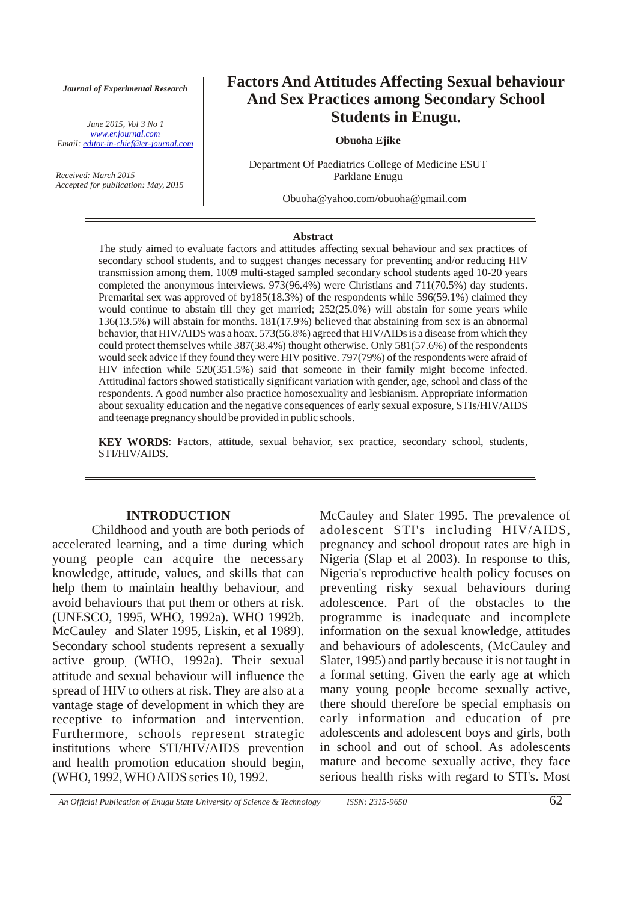*Journal of Experimental Research*

*June 2015, Vol 3 No 1 Email: editor-in-chief@er-journal.com www.er.journal.com*

*Received: March 2015 Accepted for publication: May, 2015*

## **Factors And Attitudes Affecting Sexual behaviour And Sex Practices among Secondary School Students in Enugu.**

### **Obuoha Ejike**

Department Of Paediatrics College of Medicine ESUT Parklane Enugu

Obuoha@yahoo.com/obuoha@gmail.com

#### **Abstract**

The study aimed to evaluate factors and attitudes affecting sexual behaviour and sex practices of secondary school students, and to suggest changes necessary for preventing and/or reducing HIV transmission among them. 1009 multi-staged sampled secondary school students aged 10-20 years completed the anonymous interviews. 973(96.4%) were Christians and 711(70.5%) day students . Premarital sex was approved of by185(18.3%) of the respondents while 596(59.1%) claimed they would continue to abstain till they get married; 252(25.0%) will abstain for some years while 136(13.5%) will abstain for months. 181(17.9%) believed that abstaining from sex is an abnormal behavior, that HIV/AIDS was a hoax. 573(56.8%) agreed that HIV/AIDs is a disease from which they could protect themselves while 387(38.4%) thought otherwise. Only 581(57.6%) of the respondents would seek advice if they found they were HIV positive. 797(79%) of the respondents were afraid of HIV infection while 520(351.5%) said that someone in their family might become infected. Attitudinal factors showed statistically significant variation with gender, age, school and class of the respondents. A good number also practice homosexuality and lesbianism. Appropriate information about sexuality education and the negative consequences of early sexual exposure, STIs/HIV/AIDS and teenage pregnancy should be provided in public schools.

**KEY WORDS** : Factors, attitude, sexual behavior, sex practice, secondary school, students, STI/HIV/AIDS.

### **INTRODUCTION**

Childhood and youth are both periods of accelerated learning, and a time during which young people can acquire the necessary knowledge, attitude, values, and skills that can help them to maintain healthy behaviour, and avoid behaviours that put them or others at risk. (UNESCO, WHO, 1992a). WHO 1992b. 1995, McCauley and Slater 1995, Liskin, et al 1989). Secondary school students represent a sexually active group (WHO, 1992a). Their sexual . attitude and sexual behaviour will influence the spread of HIV to others at risk. They are also at a vantage stage of development in which they are receptive to information and intervention. Furthermore, schools represent strategic institutions where STI/HIV/AIDS prevention and health promotion education should begin, (WHO, 1992, WHO AIDS series 10, 1992.

McCauley and Slater 1995. The prevalence of adolescent STI's including HIV/AIDS, pregnancy and school dropout rates are high in Nigeria (Slap et al 2003). In response to this, Nigeria's reproductive health policy focuses on preventing risky sexual behaviours during adolescence. Part of the obstacles to the programme is inadequate and incomplete information on the sexual knowledge, attitudes and behaviours of adolescents, (McCauley and Slater, 1995) and partly because it is not taught in a formal setting. Given the early age at which many young people become sexually active, there should therefore be special emphasis on early information and education of pre adolescents and adolescent boys and girls, both in school and out of school. As adolescents mature and become sexually active, they face serious health risks with regard to STI's. Most

*An Official Publication of Enugu State University of Science & Technology ISSN: 2315-9650* 62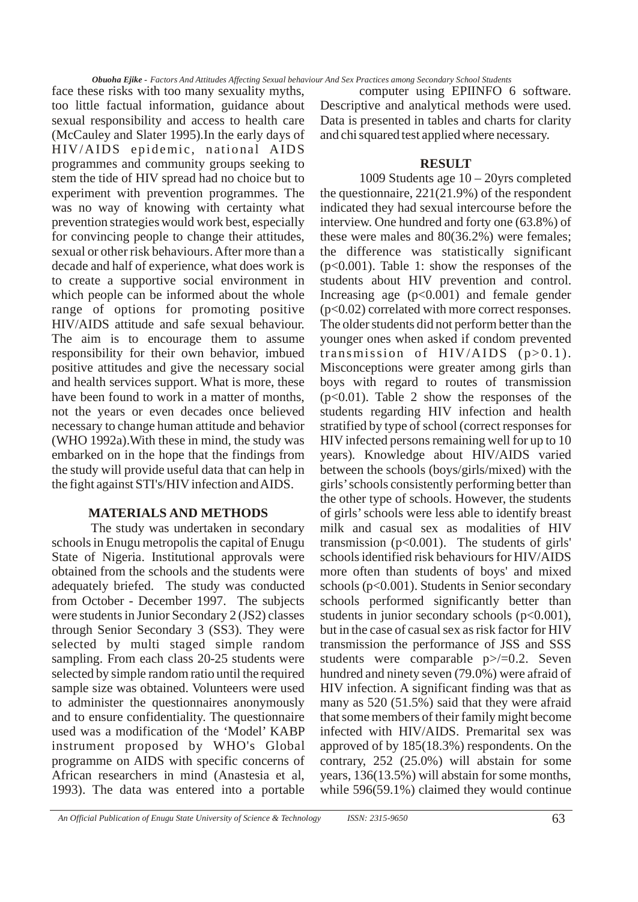face these risks with too many sexuality myths, too little factual information, guidance about sexual responsibility and access to health care (McCauley and Slater 1995).In the early days of HIV/AIDS epidemic, national AIDS programmes and community groups seeking to stem the tide of HIV spread had no choice but to experiment with prevention programmes. The was no way of knowing with certainty what prevention strategies would work best, especially for convincing people to change their attitudes, sexual or other risk behaviours. After more than a decade and half of experience, what does work is to create a supportive social environment in which people can be informed about the whole range of options for promoting positive HIV/AIDS attitude and safe sexual behaviour. The aim is to encourage them to assume responsibility for their own behavior, imbued positive attitudes and give the necessary social and health services support. What is more, these have been found to work in a matter of months, not the years or even decades once believed necessary to change human attitude and behavior (WHO 1992a).With these in mind, the study was embarked on in the hope that the findings from the study will provide useful data that can help in the fight against STI's/HIV infection and AIDS.

### **MATERIALS AND METHODS**

The study was undertaken in secondary schools in Enugu metropolis the capital of Enugu State of Nigeria. Institutional approvals were obtained from the schools and the students were adequately briefed. The study was conducted from October - December 1997. The subjects were students in Junior Secondary 2 (JS2) classes through Senior Secondary 3 (SS3). They were selected by multi staged simple random sampling. From each class 20-25 students were selected by simple random ratio until the required sample size was obtained. Volunteers were used to administer the questionnaires anonymously and to ensure confidentiality. The questionnaire used was a modification of the 'Model' KABP instrument proposed by WHO's Global programme on AIDS with specific concerns of African researchers in mind (Anastesia et al, 1993). The data was entered into a portable

computer using EPIINFO 6 software. Descriptive and analytical methods were used. Data is presented in tables and charts for clarity and chi squared test applied where necessary.

### **RESULT**

1009 Students age 10 – 20yrs completed the questionnaire, 221(21.9%) of the respondent indicated they had sexual intercourse before the interview. One hundred and forty one (63.8%) of these were males and 80(36.2%) were females; the difference was statistically significant  $(p<0.001)$ . Table 1: show the responses of the students about HIV prevention and control. Increasing age  $(p<0.001)$  and female gender (p<0.02) correlated with more correct responses. The older students did not perform better than the younger ones when asked if condom prevented transmission of  $HIV/AIDS$  (p>0.1). Misconceptions were greater among girls than boys with regard to routes of transmission  $(p<0.01)$ . Table 2 show the responses of the students regarding HIV infection and health stratified by type of school (correct responses for HIV infected persons remaining well for up to 10 years). Knowledge about HIV/AIDS varied between the schools (boys/girls/mixed) with the girls' schools consistently performing better than the other type of schools. However, the students of girls' schools were less able to identify breast milk and casual sex as modalities of HIV transmission ( $p<0.001$ ). The students of girls' schools identified risk behaviours for HIV/AIDS more often than students of boys' and mixed schools (p<0.001). Students in Senior secondary schools performed significantly better than students in junior secondary schools  $(p<0.001)$ , but in the case of casual sex as risk factor for HIV transmission the performance of JSS and SSS students were comparable p>/=0.2. Seven hundred and ninety seven (79.0%) were afraid of HIV infection. A significant finding was that as many as 520 (51.5%) said that they were afraid that some members of their family might become infected with HIV/AIDS. Premarital sex was approved of by 185(18.3%) respondents. On the contrary, 252 (25.0%) will abstain for some years, 136(13.5%) will abstain for some months, while 596(59.1%) claimed they would continue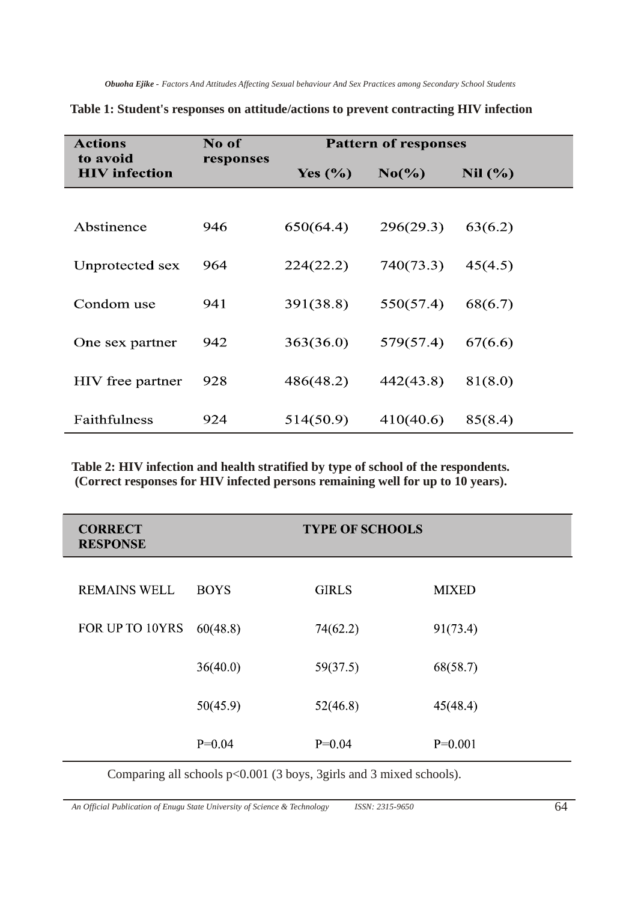| <b>Actions</b>                   | No of     | <b>Pattern of responses</b> |           |         |
|----------------------------------|-----------|-----------------------------|-----------|---------|
| to avoid<br><b>HIV</b> infection | responses | Yes $(\% )$                 | $No(\%)$  | Nil (%) |
|                                  |           |                             |           |         |
| Abstinence                       | 946       | 650(64.4)                   | 296(29.3) | 63(6.2) |
| Unprotected sex                  | 964       | 224(22.2)                   | 740(73.3) | 45(4.5) |
| Condom use                       | 941       | 391(38.8)                   | 550(57.4) | 68(6.7) |
| One sex partner                  | 942       | 363(36.0)                   | 579(57.4) | 67(6.6) |
| HIV free partner                 | 928       | 486(48.2)                   | 442(43.8) | 81(8.0) |
| Faithfulness                     | 924       | 514(50.9)                   | 410(40.6) | 85(8.4) |

**Table 1: Student's responses on attitude/actions to prevent contracting HIV infection**

**Table 2: HIV infection and health stratified by type of school of the respondents. (Correct responses for HIV infected persons remaining well for up to 10 years).**

| <b>CORRECT</b><br><b>RESPONSE</b> |             | <b>TYPE OF SCHOOLS</b> |              |
|-----------------------------------|-------------|------------------------|--------------|
| <b>REMAINS WELL</b>               | <b>BOYS</b> | <b>GIRLS</b>           | <b>MIXED</b> |
| FOR UP TO 10YRS                   | 60(48.8)    | 74(62.2)               | 91(73.4)     |
|                                   | 36(40.0)    | 59(37.5)               | 68(58.7)     |
|                                   | 50(45.9)    | 52(46.8)               | 45(48.4)     |
|                                   | $P=0.04$    | $P=0.04$               | $P=0.001$    |

Comparing all schools p<0.001 (3 boys, 3girls and 3 mixed schools).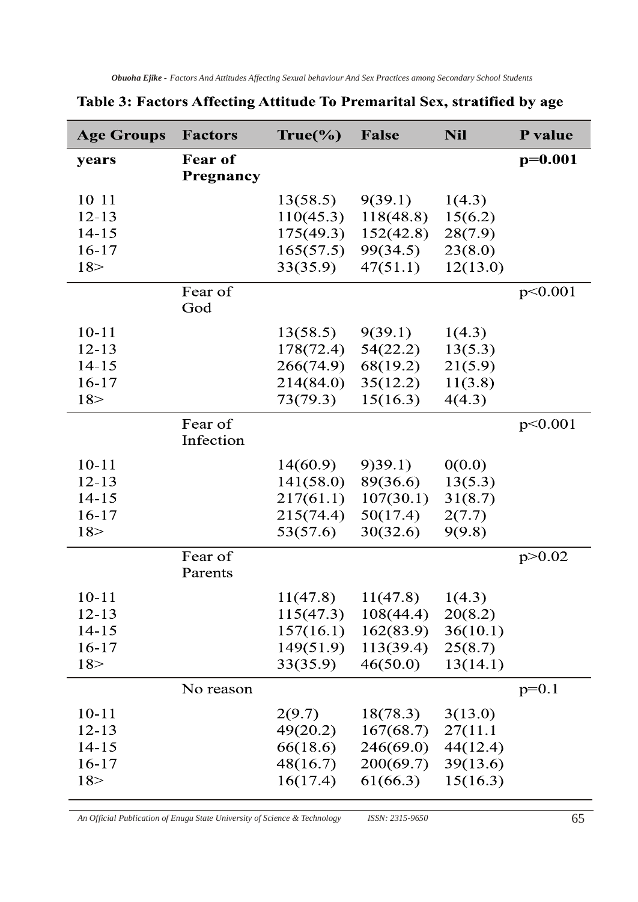| <b>Age Groups</b> | <b>Factors</b> | True(%    | <b>False</b> | <b>Nil</b> | P value   |
|-------------------|----------------|-----------|--------------|------------|-----------|
| years             | Fear of        |           |              |            | $p=0.001$ |
|                   | Pregnancy      |           |              |            |           |
| 10 11             |                | 13(58.5)  | 9(39.1)      | 1(4.3)     |           |
| $12 - 13$         |                | 110(45.3) | 118(48.8)    | 15(6.2)    |           |
| $14 - 15$         |                | 175(49.3) | 152(42.8)    | 28(7.9)    |           |
| $16-17$           |                | 165(57.5) | 99(34.5)     | 23(8.0)    |           |
| 18 >              |                | 33(35.9)  | 47(51.1)     | 12(13.0)   |           |
|                   | Fear of        |           |              |            | p<0.001   |
|                   | God            |           |              |            |           |
| $10 - 11$         |                | 13(58.5)  | 9(39.1)      | 1(4.3)     |           |
| $12 - 13$         |                | 178(72.4) | 54(22.2)     | 13(5.3)    |           |
| $14 - 15$         |                | 266(74.9) | 68(19.2)     | 21(5.9)    |           |
| $16-17$           |                | 214(84.0) | 35(12.2)     | 11(3.8)    |           |
| 18 >              |                | 73(79.3)  | 15(16.3)     | 4(4.3)     |           |
|                   | Fear of        |           |              |            | p<0.001   |
|                   | Infection      |           |              |            |           |
| $10 - 11$         |                | 14(60.9)  | 9)39.1       | 0(0.0)     |           |
| $12 - 13$         |                | 141(58.0) | 89(36.6)     | 13(5.3)    |           |
| $14 - 15$         |                | 217(61.1) | 107(30.1)    | 31(8.7)    |           |
| $16-17$           |                | 215(74.4) | 50(17.4)     | 2(7.7)     |           |
| 18 >              |                | 53(57.6)  | 30(32.6)     | 9(9.8)     |           |
|                   | Fear of        |           |              |            | p > 0.02  |
|                   | Parents        |           |              |            |           |
| $10 - 11$         |                | 11(47.8)  | 11(47.8)     | 1(4.3)     |           |
| $12 - 13$         |                | 115(47.3) | 108(44.4)    | 20(8.2)    |           |
| $14 - 15$         |                | 157(16.1) | 162(83.9)    | 36(10.1)   |           |
| $16-17$           |                | 149(51.9) | 113(39.4)    | 25(8.7)    |           |
| 18 >              |                | 33(35.9)  | 46(50.0)     | 13(14.1)   |           |
|                   | No reason      |           |              |            | $p=0.1$   |
| $10 - 11$         |                | 2(9.7)    | 18(78.3)     | 3(13.0)    |           |
| $12 - 13$         |                | 49(20.2)  | 167(68.7)    | 27(11.1)   |           |
| $14 - 15$         |                | 66(18.6)  | 246(69.0)    | 44(12.4)   |           |
| $16-17$           |                | 48(16.7)  | 200(69.7)    | 39(13.6)   |           |
| 18 >              |                | 16(17.4)  | 61(66.3)     | 15(16.3)   |           |
|                   |                |           |              |            |           |

# Table 3: Factors Affecting Attitude To Premarital Sex, stratified by age

*An Official Publication of Enugu State University of Science & Technology ISSN: 2315-9650* 65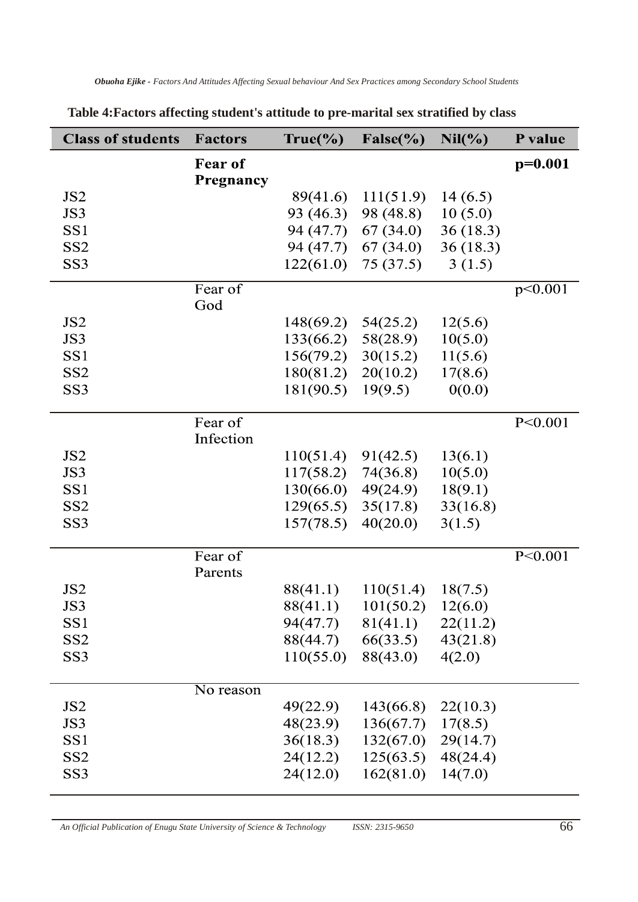| <b>Class of students</b>           | <b>Factors</b> | True(%                 | $False(\%)$                      | Nil(%)               | P value   |
|------------------------------------|----------------|------------------------|----------------------------------|----------------------|-----------|
|                                    | <b>Fear of</b> |                        |                                  |                      | $p=0.001$ |
|                                    | Pregnancy      |                        |                                  |                      |           |
| JS <sub>2</sub><br>JS3             |                | 89(41.6)               | 111(51.9)                        | 14(6.5)              |           |
| SS <sub>1</sub>                    |                | 93 (46.3)<br>94 (47.7) | 98 (48.8)                        | 10(5.0)              |           |
| SS <sub>2</sub>                    |                | 94 (47.7)              | 67 (34.0)<br>67 (34.0)           | 36(18.3)<br>36(18.3) |           |
| SS <sub>3</sub>                    |                | 122(61.0)              | 75 (37.5)                        | 3(1.5)               |           |
|                                    |                |                        |                                  |                      |           |
|                                    | Fear of        |                        |                                  |                      | p<0.001   |
|                                    | God            |                        |                                  |                      |           |
| JS <sub>2</sub>                    |                | 148(69.2)              | 54(25.2)                         | 12(5.6)              |           |
| JS3                                |                | 133(66.2)              | 58(28.9)                         | 10(5.0)              |           |
| SS <sub>1</sub>                    |                | 156(79.2)<br>180(81.2) | 30(15.2)                         | 11(5.6)              |           |
| SS <sub>2</sub><br>SS <sub>3</sub> |                | 181(90.5)              | 20(10.2)<br>19(9.5)              | 17(8.6)<br>0(0.0)    |           |
|                                    |                |                        |                                  |                      |           |
|                                    | Fear of        |                        |                                  |                      | P < 0.001 |
|                                    | Infection      |                        |                                  |                      |           |
| JS <sub>2</sub>                    |                | 110(51.4)              | 91(42.5)                         | 13(6.1)              |           |
| JS3                                |                | 117(58.2)              | 74(36.8)                         | 10(5.0)              |           |
| SS <sub>1</sub>                    |                | 130(66.0)              | 49(24.9)                         | 18(9.1)              |           |
| SS <sub>2</sub>                    |                | 129(65.5)              | 35(17.8)                         | 33(16.8)             |           |
| SS <sub>3</sub>                    |                | 157(78.5)              | 40(20.0)                         | 3(1.5)               |           |
|                                    | Fear of        |                        |                                  |                      | P < 0.001 |
|                                    | Parents        |                        |                                  |                      |           |
| JS <sub>2</sub>                    |                | 88(41.1)               | 110(51.4)                        | 18(7.5)              |           |
| JS3                                |                | 88(41.1)               | 101(50.2)                        | 12(6.0)              |           |
| SS <sub>1</sub>                    |                |                        | $94(47.7)$ $81(41.1)$ $22(11.2)$ |                      |           |
| SS <sub>2</sub>                    |                |                        | $88(44.7)$ $66(33.5)$ $43(21.8)$ |                      |           |
| SS <sub>3</sub>                    |                | 110(55.0)              | 88(43.0)                         | 4(2.0)               |           |
|                                    | No reason      |                        |                                  |                      |           |
| JS <sub>2</sub>                    |                | 49(22.9)               | 143(66.8)                        | 22(10.3)             |           |
| JS3                                |                | 48(23.9)               | $136(67.7)$ 17(8.5)              |                      |           |
| SS <sub>1</sub>                    |                | 36(18.3)               | $132(67.0)$ 29(14.7)             |                      |           |
| SS <sub>2</sub>                    |                | 24(12.2)               | $125(63.5)$ 48(24.4)             |                      |           |
| SS <sub>3</sub>                    |                | 24(12.0)               | $162(81.0)$ $14(7.0)$            |                      |           |
|                                    |                |                        |                                  |                      |           |

## **Table 4:Factors affecting student's attitude to pre-marital sex stratified by class**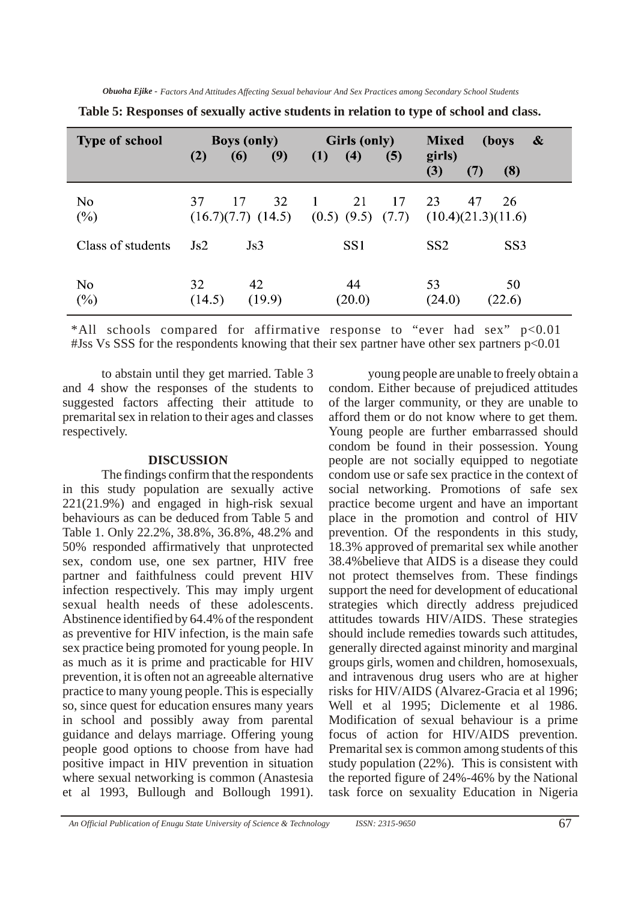| <b>Type of school</b>    | (2)            | <b>Boys (only)</b><br>(9)<br>(6)   | <b>Girls (only)</b><br>(4)<br>(5)<br>(1)             | $\boldsymbol{\&}$<br><b>Mixed</b><br>(boys<br>girls) |
|--------------------------|----------------|------------------------------------|------------------------------------------------------|------------------------------------------------------|
|                          |                |                                    |                                                      | (3)<br>(8)<br>(7)                                    |
| N <sub>o</sub><br>$(\%)$ | 37             | 32<br>17<br>$(16.7)(7.7)$ $(14.5)$ | 21<br>17<br>$\mathbf{1}$<br>$(0.5)$ $(9.5)$<br>(7.7) | 23<br>47<br>26<br>(10.4)(21.3)(11.6)                 |
| Class of students        | $\mathrm{Js2}$ | $\mathrm{Js}$                      | SS <sub>1</sub>                                      | SS <sub>2</sub><br>SS <sub>3</sub>                   |
| No<br>$(\%)$             | 32<br>(14.5)   | 42<br>(19.9)                       | 44<br>(20.0)                                         | 53<br>50<br>(24.0)<br>(22.6)                         |

\*All schools compared for affirmative response to "ever had sex" p<0.01 #Jss Vs SSS for the respondents knowing that their sex partner have other sex partners p<0.01

to abstain until they get married. Table 3 and 4 show the responses of the students to suggested factors affecting their attitude to premarital sex in relation to their ages and classes respectively.

### **DISCUSSION**

The findings confirm that the respondents in this study population are sexually active 221(21.9%) and engaged in high-risk sexual behaviours as can be deduced from Table 5 and Table 1. Only 22.2%, 38.8%, 36.8%, 48.2% and 50% responded affirmatively that unprotected sex, condom use, one sex partner, HIV free partner and faithfulness could prevent HIV infection respectively. This may imply urgent sexual health needs of these adolescents. Abstinence identified by 64.4% of the respondent as preventive for HIV infection, is the main safe sex practice being promoted for young people. In as much as it is prime and practicable for HIV prevention, it is often not an agreeable alternative practice to many young people. This is especially so, since quest for education ensures many years in school and possibly away from parental guidance and delays marriage. Offering young people good options to choose from have had positive impact in HIV prevention in situation where sexual networking is common (Anastesia et al 1993, Bullough and Bollough 1991).

young people are unable to freely obtain a condom. Either because of prejudiced attitudes of the larger community, or they are unable to afford them or do not know where to get them. Young people are further embarrassed should condom be found in their possession. Young people are not socially equipped to negotiate condom use or safe sex practice in the context of social networking. Promotions of safe sex practice become urgent and have an important place in the promotion and control of HIV prevention. Of the respondents in this study, 18.3% approved of premarital sex while another 38.4%believe that AIDS is a disease they could not protect themselves from. These findings support the need for development of educational strategies which directly address prejudiced attitudes towards HIV/AIDS. These strategies should include remedies towards such attitudes, generally directed against minority and marginal groups girls, women and children, homosexuals, and intravenous drug users who are at higher risks for HIV/AIDS (Alvarez-Gracia et al 1996; Well et al 1995; Diclemente et al 1986. Modification of sexual behaviour is a prime focus of action for HIV/AIDS prevention. Premarital sex is common among students of this study population (22%). This is consistent with the reported figure of 24%-46% by the National task force on sexuality Education in Nigeria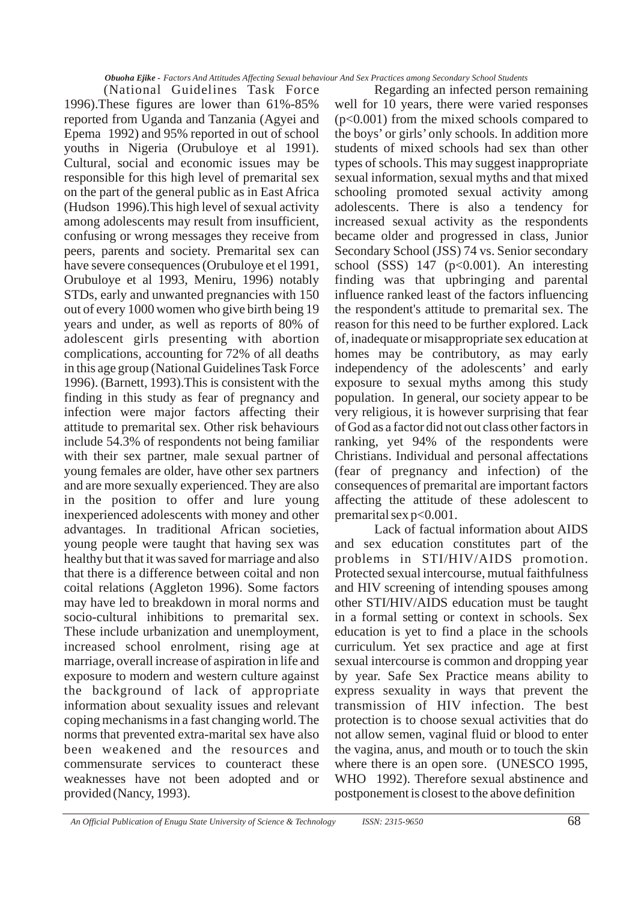(National Guidelines Task Force 1996).These figures are lower than 61%-85% reported from Uganda and Tanzania (Agyei and Epema 1992) and 95% reported in out of school youths in Nigeria (Orubuloye et al 1991). Cultural, social and economic issues may be responsible for this high level of premarital sex on the part of the general public as in East Africa (Hudson 1996).This high level of sexual activity among adolescents may result from insufficient, confusing or wrong messages they receive from peers, parents and society. Premarital sex can have severe consequences (Orubuloye et el 1991, Orubuloye et al 1993, Meniru, 1996) notably STDs, early and unwanted pregnancies with 150 out of every 1000 women who give birth being 19 years and under, as well as reports of 80% of adolescent girls presenting with abortion complications, accounting for 72% of all deaths in this age group (National Guidelines Task Force 1996). (Barnett, 1993).This is consistent with the finding in this study as fear of pregnancy and infection were major factors affecting their attitude to premarital sex. Other risk behaviours include 54.3% of respondents not being familiar with their sex partner, male sexual partner of young females are older, have other sex partners and are more sexually experienced. They are also in the position to offer and lure young inexperienced adolescents with money and other advantages. In traditional African societies, young people were taught that having sex was healthy but that it was saved for marriage and also that there is a difference between coital and non coital relations (Aggleton 1996). Some factors may have led to breakdown in moral norms and socio-cultural inhibitions to premarital sex. These include urbanization and unemployment, increased school enrolment, rising age at marriage, overall increase of aspiration in life and exposure to modern and western culture against the background of lack of appropriate information about sexuality issues and relevant coping mechanisms in a fast changing world. The norms that prevented extra-marital sex have also been weakened and the resources and commensurate services to counteract these weaknesses have not been adopted and or provided (Nancy, 1993).

Regarding an infected person remaining well for 10 years, there were varied responses (p<0.001) from the mixed schools compared to the boys' or girls' only schools. In addition more students of mixed schools had sex than other types of schools. This may suggest inappropriate sexual information, sexual myths and that mixed schooling promoted sexual activity among adolescents. There is also a tendency for increased sexual activity as the respondents became older and progressed in class, Junior Secondary School (JSS) 74 vs. Senior secondary school (SSS)  $147$  (p<0.001). An interesting finding was that upbringing and parental influence ranked least of the factors influencing the respondent's attitude to premarital sex. The reason for this need to be further explored. Lack of, inadequate or misappropriate sex education at homes may be contributory, as may early independency of the adolescents' and early exposure to sexual myths among this study population. In general, our society appear to be very religious, it is however surprising that fear of God as a factor did not out class other factors in ranking, yet 94% of the respondents were Christians. Individual and personal affectations (fear of pregnancy and infection) of the consequences of premarital are important factors affecting the attitude of these adolescent to premarital sex  $p<0.001$ .

Lack of factual information about AIDS and sex education constitutes part of the problems in STI/HIV/AIDS promotion. Protected sexual intercourse, mutual faithfulness and HIV screening of intending spouses among other STI/HIV/AIDS education must be taught in a formal setting or context in schools. Sex education is yet to find a place in the schools curriculum. Yet sex practice and age at first sexual intercourse is common and dropping year by year. Safe Sex Practice means ability to express sexuality in ways that prevent the transmission of HIV infection. The best protection is to choose sexual activities that do not allow semen, vaginal fluid or blood to enter the vagina, anus, and mouth or to touch the skin where there is an open sore. (UNESCO 1995, WHO 1992). Therefore sexual abstinence and postponement is closest to the above definition

*An Official Publication of Enugu State University of Science & Technology ISSN: 2315-9650* 68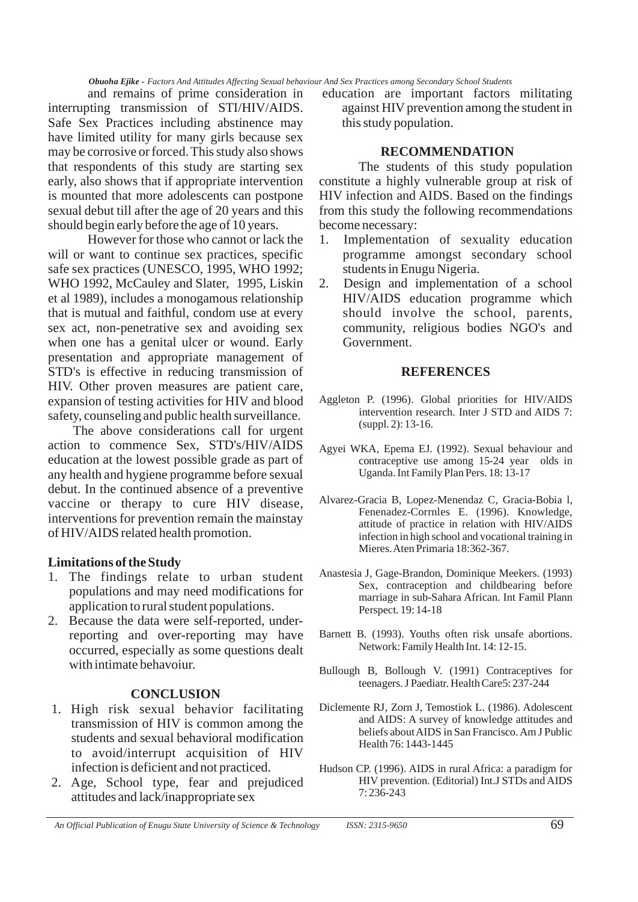and remains of prime consideration in interrupting transmission of STI/HIV/AIDS. Safe Sex Practices including abstinence may have limited utility for many girls because sex may be corrosive or forced. This study also shows that respondents of this study are starting sex early, also shows that if appropriate intervention is mounted that more adolescents can postpone sexual debut till after the age of 20 years and this should begin early before the age of 10 years.

However for those who cannot or lack the will or want to continue sex practices, specific safe sex practices (UNESCO, 1995, WHO 1992; WHO 1992, McCauley and Slater, 1995, Liskin et al 1989), includes a monogamous relationship that is mutual and faithful, condom use at every sex act, non-penetrative sex and avoiding sex when one has a genital ulcer or wound. Early presentation and appropriate management of STD's is effective in reducing transmission of HIV. Other proven measures are patient care, expansion of testing activities for HIV and blood safety, counseling and public health surveillance.

The above considerations call for urgent action to commence Sex, STD's/HIV/AIDS education at the lowest possible grade as part of any health and hygiene programme before sexual debut. In the continued absence of a preventive vaccine or therapy to cure HIV disease, interventions for prevention remain the mainstay of HIV/AIDS related health promotion.

### **Limitations of the Study**

- 1. The findings relate to urban student populations and may need modifications for application to rural student populations.
- 2. Because the data were self-reported, underreporting and over-reporting may have occurred, especially as some questions dealt with intimate behavoiur.

### **CONCLUSION**

- 1. High risk sexual behavior facilitating transmission of HIV is common among the students and sexual behavioral modification to avoid/interrupt acquisition of HIV infection is deficient and not practiced.
- 2. Age, School type, fear and prejudiced attitudes and lack/inappropriate sex

education are important factors militating against HIV prevention among the student in this study population.

### **RECOMMENDATION**

The students of this study population constitute a highly vulnerable group at risk of HIV infection and AIDS. Based on the findings from this study the following recommendations become necessary:

- 1. Implementation of sexuality education programme amongst secondary school students in Enugu Nigeria.
- 2. Design and implementation of a school HIV/AIDS education programme which should involve the school, parents, community, religious bodies NGO's and Government.

### **REFERENCES**

- Aggleton P. (1996). Global priorities for HIV/AIDS intervention research. Inter J STD and AIDS 7: (suppl. 2): 13-16.
- Agyei WKA, Epema EJ. (1992). Sexual behaviour and contraceptive use among 15-24 year olds in Uganda. Int Family Plan Pers. 18: 13-17
- Alvarez-Gracia B, Lopez-Menendaz C, Gracia-Bobia l, Fenenadez-Corrnles E. (1996). Knowledge, attitude of practice in relation with HIV/AIDS infection in high school and vocational training in Mieres. Aten Primaria 18:362-367.
- Anastesia J, Gage-Brandon, Dominique Meekers. (1993) Sex, contraception and childbearing before marriage in sub-Sahara African. Int Famil Plann Perspect. 19: 14-18
- Barnett B. (1993). Youths often risk unsafe abortions. Network: Family Health Int. 14: 12-15.
- Bullough B, Bollough V. (1991) Contraceptives for teenagers. J Paediatr. Health Care5: 237-244
- Diclemente RJ, Zorn J, Temostiok L. (1986). Adolescent and AIDS: A survey of knowledge attitudes and beliefs about AIDS in San Francisco. Am J Public Health 76: 1443-1445
- Hudson CP. (1996). AIDS in rural Africa: a paradigm for HIV prevention. (Editorial) Int.J STDs and AIDS 7: 236-243